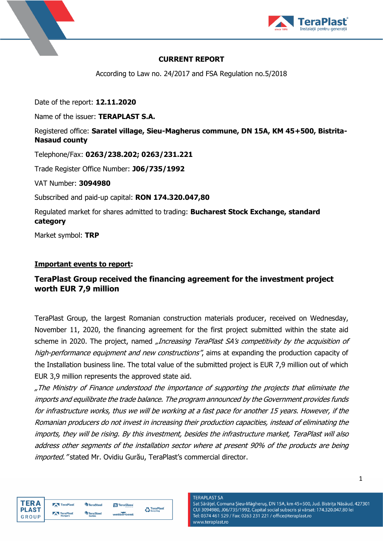



### **CURRENT REPORT**

According to Law no. 24/2017 and FSA Regulation no.5/2018

Date of the report: **12.11.2020**

Name of the issuer: **TERAPLAST S.A.**

## Registered office: **Saratel village, Sieu-Magherus commune, DN 15A, KM 45+500, Bistrita-Nasaud county**

Telephone/Fax: **0263/238.202; 0263/231.221**

Trade Register Office Number: **J06/735/1992**

VAT Number: **3094980**

Subscribed and paid-up capital: **RON 174.320.047,80**

Regulated market for shares admitted to trading: **Bucharest Stock Exchange, standard category**

Market symbol: **TRP**

## **Important events to report:**

# **TeraPlast Group received the financing agreement for the investment project worth EUR 7,9 million**

TeraPlast Group, the largest Romanian construction materials producer, received on Wednesday, November 11, 2020, the financing agreement for the first project submitted within the state aid scheme in 2020. The project, named "Increasing TeraPlast SA's competitivity by the acquisition of high-performance equipment and new constructions", aims at expanding the production capacity of the Installation business line. The total value of the submitted project is EUR 7,9 million out of which EUR 3,9 million represents the approved state aid.

"The Ministry of Finance understood the importance of supporting the projects that eliminate the imports and equilibrate the trade balance. The program announced by the Government provides funds for infrastructure works, thus we will be working at a fast pace for another 15 years. However, if the Romanian producers do not invest in increasing their production capacities, instead of eliminating the imports, they will be rising. By this investment, besides the infrastructure market, TeraPlast will also address other segments of the installation sector where at present 90% of the products are being imported. "stated Mr. Ovidiu Gurău, TeraPlast's commercial director.

aPlas



| TeraPlast | <b>TeraSteel</b>           | TeraGlass  |                      |  |
|-----------|----------------------------|------------|----------------------|--|
| TeraPlast | <b>TeraSteel</b><br>Corbin | wetterbest | $\sum_{\text{Reev}}$ |  |

**TERAPLAST SA** Sat Sărățel, Comuna Șieu-Măgheruș, DN 15A, km 45+500, Jud. Bistrița Năsăud, 427301 CUI 3094980, J06/735/1992, Capital social subscris și vărsat: 174.320.047,80 lei Tel: 0374 461 529 / Fax: 0263 231 221 / office@teraplast.ro www.teraplast.ro